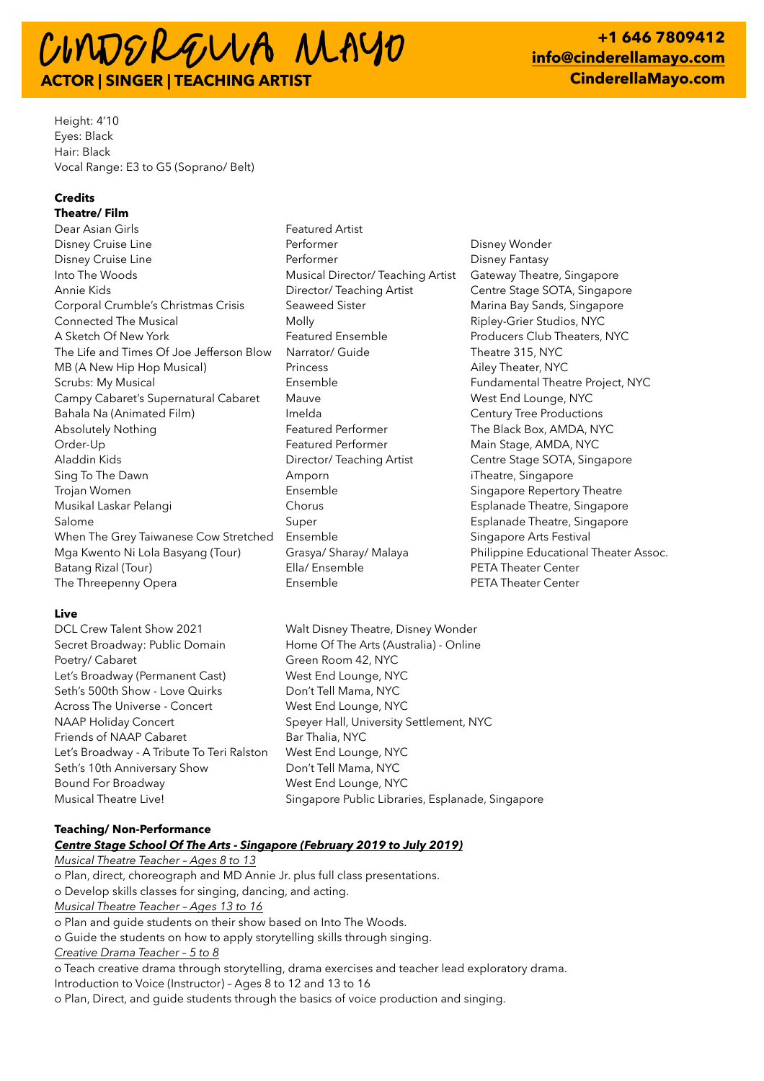# CIMDERGUUA MAYO **ACTOR | SINGER | TEACHING ARTIST**

**+1 646 7809412 [info@cinderellamayo.com](mailto:info@cinderellamayo.com) CinderellaMayo.com**

Height: 4'10 Eyes: Black Hair: Black Vocal Range: E3 to G5 (Soprano/ Belt)

# **Credits**

**Theatre/ Film** Dear Asian Girls **Featured Artist** Disney Cruise Line **Performer** Performer **Disney Wonder** Disney Wonder Disney Cruise Line **Performer** Performer **Performer** Disney Fantasy Into The Woods **Musical Director/ Teaching Artist** Gateway Theatre, Singapore Annie Kids **Director/ Teaching Artist** Centre Stage SOTA, Singapore Corporal Crumble's Christmas Crisis Seaweed Sister Seamen Marina Bay Sands, Singapore Connected The Musical **Molly** Molly **Molly** Ripley-Grier Studios, NYC A Sketch Of New York **Featured Ensemble** Producers Club Theaters, NYC The Life and Times Of Joe Jefferson Blow Narrator/ Guide Theatre 315, NYC MB (A New Hip Hop Musical) **Princess** Princess Ailey Theater, NYC Scrubs: My Musical **Ensemble** Ensemble Fundamental Theatre Project, NYC Campy Cabaret's Supernatural Cabaret Mauve Mauve West End Lounge, NYC Bahala Na (Animated Film) **Imelda** Century Tree Productions Absolutely Nothing The Black Box, AMDA, NYC Order-Up Featured Performer Main Stage, AMDA, NYC Aladdin Kids Director/ Teaching Artist Centre Stage SOTA, Singapore Sing To The Dawn **Singapore Amporn** Amporn it and theatre, Singapore Trojan Women Ensemble Singapore Repertory Theatre Musikal Laskar Pelangi Chorus Esplanade Theatre, Singapore Salome **Super** Super **Super** Esplanade Theatre, Singapore When The Grey Taiwanese Cow Stretched Ensemble Singapore Arts Festival Mga Kwento Ni Lola Basyang (Tour) Grasya/ Sharay/ Malaya Philippine Educational Theater Assoc. Batang Rizal (Tour) **Ella/ Ensemble** PETA Theater Center The Threepenny Opera **Ensemble** Ensemble **PETA Theater Center** 

### **Live**

- Secret Broadway: Public Domain Home Of The Arts (Australia) Online Poetry/ Cabaret Green Room 42, NYC Let's Broadway (Permanent Cast) West End Lounge, NYC Seth's 500th Show - Love Quirks Don't Tell Mama, NYC Across The Universe - Concert West End Lounge, NYC NAAP Holiday Concert Speyer Hall, University Settlement, NYC Friends of NAAP Cabaret Bar Thalia, NYC Let's Broadway - A Tribute To Teri Ralston West End Lounge, NYC Seth's 10th Anniversary Show Don't Tell Mama, NYC Bound For Broadway West End Lounge, NYC
- 

DCL Crew Talent Show 2021 Walt Disney Theatre, Disney Wonder Musical Theatre Live! Singapore Public Libraries, Esplanade, Singapore

#### **Teaching/ Non-Performance**

#### *Centre Stage School Of The Arts - Singapore (February 2019 to July 2019)*

*Musical Theatre Teacher – Ages 8 to 13* o Plan, direct, choreograph and MD Annie Jr. plus full class presentations. o Develop skills classes for singing, dancing, and acting. *Musical Theatre Teacher – Ages 13 to 16* o Plan and guide students on their show based on Into The Woods. o Guide the students on how to apply storytelling skills through singing. *Creative Drama Teacher – 5 to 8* o Teach creative drama through storytelling, drama exercises and teacher lead exploratory drama. Introduction to Voice (Instructor) – Ages 8 to 12 and 13 to 16

o Plan, Direct, and guide students through the basics of voice production and singing.